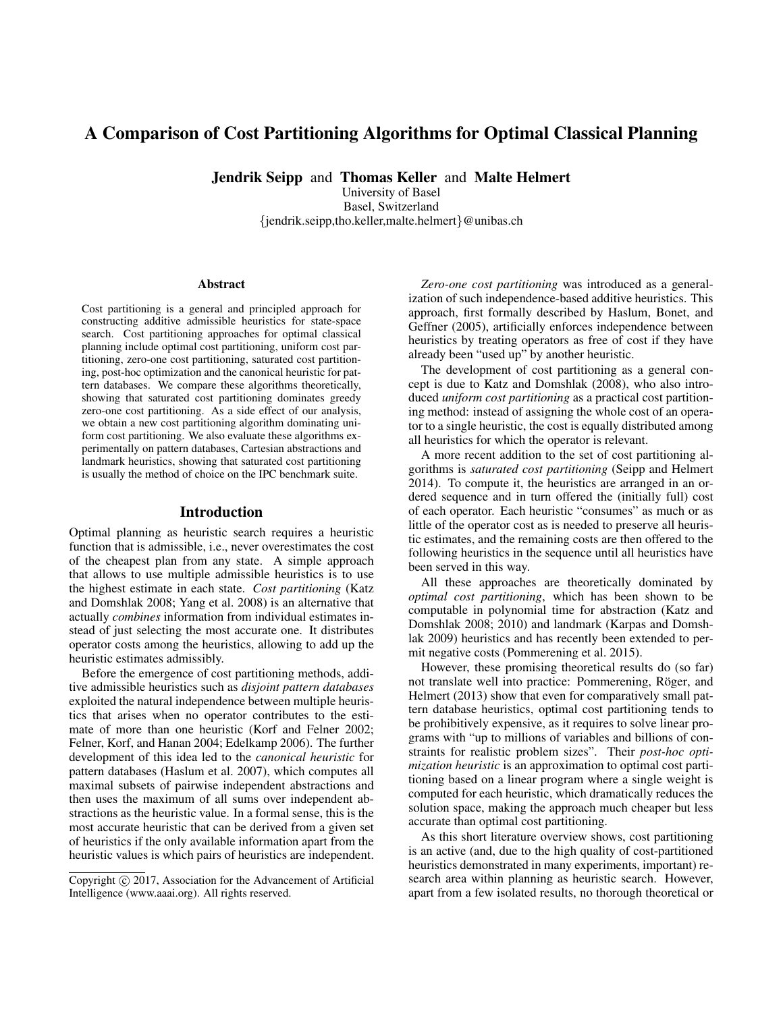# A Comparison of Cost Partitioning Algorithms for Optimal Classical Planning

Jendrik Seipp and Thomas Keller and Malte Helmert

University of Basel Basel, Switzerland {jendrik.seipp,tho.keller,malte.helmert}@unibas.ch

#### Abstract

Cost partitioning is a general and principled approach for constructing additive admissible heuristics for state-space search. Cost partitioning approaches for optimal classical planning include optimal cost partitioning, uniform cost partitioning, zero-one cost partitioning, saturated cost partitioning, post-hoc optimization and the canonical heuristic for pattern databases. We compare these algorithms theoretically, showing that saturated cost partitioning dominates greedy zero-one cost partitioning. As a side effect of our analysis, we obtain a new cost partitioning algorithm dominating uniform cost partitioning. We also evaluate these algorithms experimentally on pattern databases, Cartesian abstractions and landmark heuristics, showing that saturated cost partitioning is usually the method of choice on the IPC benchmark suite.

## Introduction

Optimal planning as heuristic search requires a heuristic function that is admissible, i.e., never overestimates the cost of the cheapest plan from any state. A simple approach that allows to use multiple admissible heuristics is to use the highest estimate in each state. *Cost partitioning* (Katz and Domshlak 2008; Yang et al. 2008) is an alternative that actually *combines* information from individual estimates instead of just selecting the most accurate one. It distributes operator costs among the heuristics, allowing to add up the heuristic estimates admissibly.

Before the emergence of cost partitioning methods, additive admissible heuristics such as *disjoint pattern databases* exploited the natural independence between multiple heuristics that arises when no operator contributes to the estimate of more than one heuristic (Korf and Felner 2002; Felner, Korf, and Hanan 2004; Edelkamp 2006). The further development of this idea led to the *canonical heuristic* for pattern databases (Haslum et al. 2007), which computes all maximal subsets of pairwise independent abstractions and then uses the maximum of all sums over independent abstractions as the heuristic value. In a formal sense, this is the most accurate heuristic that can be derived from a given set of heuristics if the only available information apart from the heuristic values is which pairs of heuristics are independent.

*Zero-one cost partitioning* was introduced as a generalization of such independence-based additive heuristics. This approach, first formally described by Haslum, Bonet, and Geffner (2005), artificially enforces independence between heuristics by treating operators as free of cost if they have already been "used up" by another heuristic.

The development of cost partitioning as a general concept is due to Katz and Domshlak (2008), who also introduced *uniform cost partitioning* as a practical cost partitioning method: instead of assigning the whole cost of an operator to a single heuristic, the cost is equally distributed among all heuristics for which the operator is relevant.

A more recent addition to the set of cost partitioning algorithms is *saturated cost partitioning* (Seipp and Helmert 2014). To compute it, the heuristics are arranged in an ordered sequence and in turn offered the (initially full) cost of each operator. Each heuristic "consumes" as much or as little of the operator cost as is needed to preserve all heuristic estimates, and the remaining costs are then offered to the following heuristics in the sequence until all heuristics have been served in this way.

All these approaches are theoretically dominated by *optimal cost partitioning*, which has been shown to be computable in polynomial time for abstraction (Katz and Domshlak 2008; 2010) and landmark (Karpas and Domshlak 2009) heuristics and has recently been extended to permit negative costs (Pommerening et al. 2015).

However, these promising theoretical results do (so far) not translate well into practice: Pommerening, Röger, and Helmert (2013) show that even for comparatively small pattern database heuristics, optimal cost partitioning tends to be prohibitively expensive, as it requires to solve linear programs with "up to millions of variables and billions of constraints for realistic problem sizes". Their *post-hoc optimization heuristic* is an approximation to optimal cost partitioning based on a linear program where a single weight is computed for each heuristic, which dramatically reduces the solution space, making the approach much cheaper but less accurate than optimal cost partitioning.

As this short literature overview shows, cost partitioning is an active (and, due to the high quality of cost-partitioned heuristics demonstrated in many experiments, important) research area within planning as heuristic search. However, apart from a few isolated results, no thorough theoretical or

Copyright (c) 2017, Association for the Advancement of Artificial Intelligence (www.aaai.org). All rights reserved.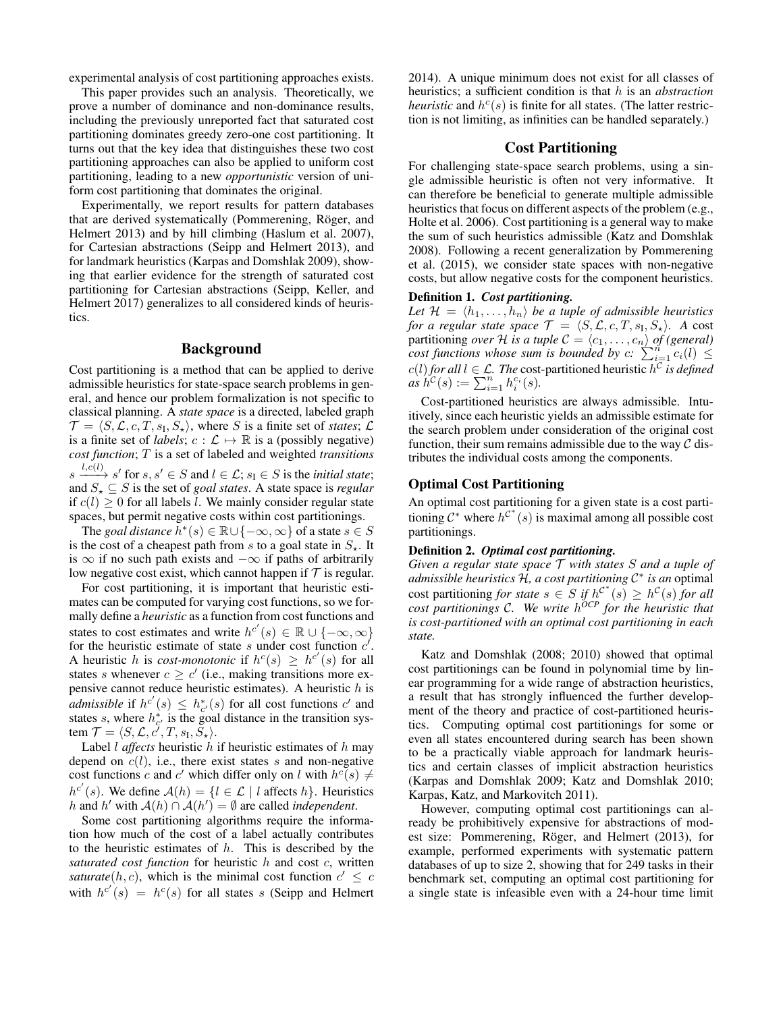experimental analysis of cost partitioning approaches exists.

This paper provides such an analysis. Theoretically, we prove a number of dominance and non-dominance results, including the previously unreported fact that saturated cost partitioning dominates greedy zero-one cost partitioning. It turns out that the key idea that distinguishes these two cost partitioning approaches can also be applied to uniform cost partitioning, leading to a new *opportunistic* version of uniform cost partitioning that dominates the original.

Experimentally, we report results for pattern databases that are derived systematically (Pommerening, Röger, and Helmert 2013) and by hill climbing (Haslum et al. 2007), for Cartesian abstractions (Seipp and Helmert 2013), and for landmark heuristics (Karpas and Domshlak 2009), showing that earlier evidence for the strength of saturated cost partitioning for Cartesian abstractions (Seipp, Keller, and Helmert 2017) generalizes to all considered kinds of heuristics.

#### Background

Cost partitioning is a method that can be applied to derive admissible heuristics for state-space search problems in general, and hence our problem formalization is not specific to classical planning. A *state space* is a directed, labeled graph  $\mathcal{T} = \langle S, \mathcal{L}, c, T, s_{\text{I}}, S_{\star} \rangle$ , where S is a finite set of *states*; L is a finite set of *labels*;  $c : \mathcal{L} \mapsto \mathbb{R}$  is a (possibly negative) *cost function*; T is a set of labeled and weighted *transitions*  $s \xrightarrow{l,c(l)} s'$  for  $s, s' \in S$  and  $l \in \mathcal{L}$ ;  $s_I \in S$  is the *initial state*; and  $S_{\star} \subseteq S$  is the set of *goal states*. A state space is *regular* if  $c(l) \geq 0$  for all labels l. We mainly consider regular state spaces, but permit negative costs within cost partitionings.

The *goal distance*  $h^*(s) \in \mathbb{R} \cup \{-\infty, \infty\}$  of a state  $s \in S$ is the cost of a cheapest path from s to a goal state in  $S_{\star}$ . It is  $\infty$  if no such path exists and  $-\infty$  if paths of arbitrarily low negative cost exist, which cannot happen if  $\mathcal T$  is regular.

For cost partitioning, it is important that heuristic estimates can be computed for varying cost functions, so we formally define a *heuristic* as a function from cost functions and states to cost estimates and write  $h^{c'}(s) \in \mathbb{R} \cup \{-\infty, \infty\}$ for the heuristic estimate of state s under cost function  $c^{\prime}$ . A heuristic h is cost-monotonic if  $h^c(s) \geq h^{c'}(s)$  for all states s whenever  $c \geq c'$  (i.e., making transitions more expensive cannot reduce heuristic estimates). A heuristic  $h$  is *admissible* if  $h^{c'}(s) \leq h_{c'}^{*}(s)$  for all cost functions  $c'$  and states s, where  $h_{c'}^*$  is the goal distance in the transition system  $\mathcal{T} = \langle S, \mathcal{L}, c^{\prime}, T, s_{\text{I}}, \overline{S}_{\star} \rangle.$ 

Label *l affects* heuristic *h* if heuristic estimates of *h* may depend on  $c(l)$ , i.e., there exist states s and non-negative cost functions c and c' which differ only on l with  $h^c(s) \neq$  $h^{c'}(s)$ . We define  $\mathcal{A}(h) = \{l \in \mathcal{L} \mid l \text{ affects } h\}$ . Heuristics h and h' with  $A(h) \cap A(h') = \emptyset$  are called *independent*.

Some cost partitioning algorithms require the information how much of the cost of a label actually contributes to the heuristic estimates of  $h$ . This is described by the *saturated cost function* for heuristic h and cost c, written *saturate*(*h*, *c*), which is the minimal cost function  $c' \leq c$ with  $h^{c'}(s) = h^c(s)$  for all states s (Seipp and Helmert

2014). A unique minimum does not exist for all classes of heuristics; a sufficient condition is that h is an *abstraction heuristic* and  $h^c(s)$  is finite for all states. (The latter restriction is not limiting, as infinities can be handled separately.)

## Cost Partitioning

For challenging state-space search problems, using a single admissible heuristic is often not very informative. It can therefore be beneficial to generate multiple admissible heuristics that focus on different aspects of the problem (e.g., Holte et al. 2006). Cost partitioning is a general way to make the sum of such heuristics admissible (Katz and Domshlak 2008). Following a recent generalization by Pommerening et al. (2015), we consider state spaces with non-negative costs, but allow negative costs for the component heuristics.

### Definition 1. *Cost partitioning.*

Let  $\mathcal{H} = \langle h_1, \ldots, h_n \rangle$  *be a tuple of admissible heuristics for a regular state space*  $\mathcal{T} = \langle S, \mathcal{L}, c, T, s_{\text{I}}, S_{\star} \rangle$ . A cost partitioning *over* H is a tuple  $C = \langle c_1, \ldots, c_n \rangle$  of (general) *cost functions whose sum* is bounded by  $c: \sum_{i=1}^{n} c_i(l) \leq$ *c*(*l*) *for all l* ∈  $\mathcal{L}$ *. The* cost-partitioned heuristic  $h^{\mathcal{C}}$  *is defined*  $as \, h^{\mathcal{C}}(s) := \sum_{i=1}^n h_i^{c_i}(s).$ 

Cost-partitioned heuristics are always admissible. Intuitively, since each heuristic yields an admissible estimate for the search problem under consideration of the original cost function, their sum remains admissible due to the way  $\mathcal C$  distributes the individual costs among the components.

## Optimal Cost Partitioning

An optimal cost partitioning for a given state is a cost partitioning  $C^*$  where  $h^{C^*}(s)$  is maximal among all possible cost partitionings.

#### Definition 2. *Optimal cost partitioning.*

*Given a regular state space* T *with states* S *and a tuple of admissible heuristics* H*, a cost partitioning* C ∗ *is an* optimal cost partitioning *for state*  $s \in S$  *if*  $h^{C^*}(s) \geq h^C(s)$  *for all cost partitionings* C*. We write* h *OCP for the heuristic that is cost-partitioned with an optimal cost partitioning in each state.*

Katz and Domshlak (2008; 2010) showed that optimal cost partitionings can be found in polynomial time by linear programming for a wide range of abstraction heuristics, a result that has strongly influenced the further development of the theory and practice of cost-partitioned heuristics. Computing optimal cost partitionings for some or even all states encountered during search has been shown to be a practically viable approach for landmark heuristics and certain classes of implicit abstraction heuristics (Karpas and Domshlak 2009; Katz and Domshlak 2010; Karpas, Katz, and Markovitch 2011).

However, computing optimal cost partitionings can already be prohibitively expensive for abstractions of modest size: Pommerening, Röger, and Helmert (2013), for example, performed experiments with systematic pattern databases of up to size 2, showing that for 249 tasks in their benchmark set, computing an optimal cost partitioning for a single state is infeasible even with a 24-hour time limit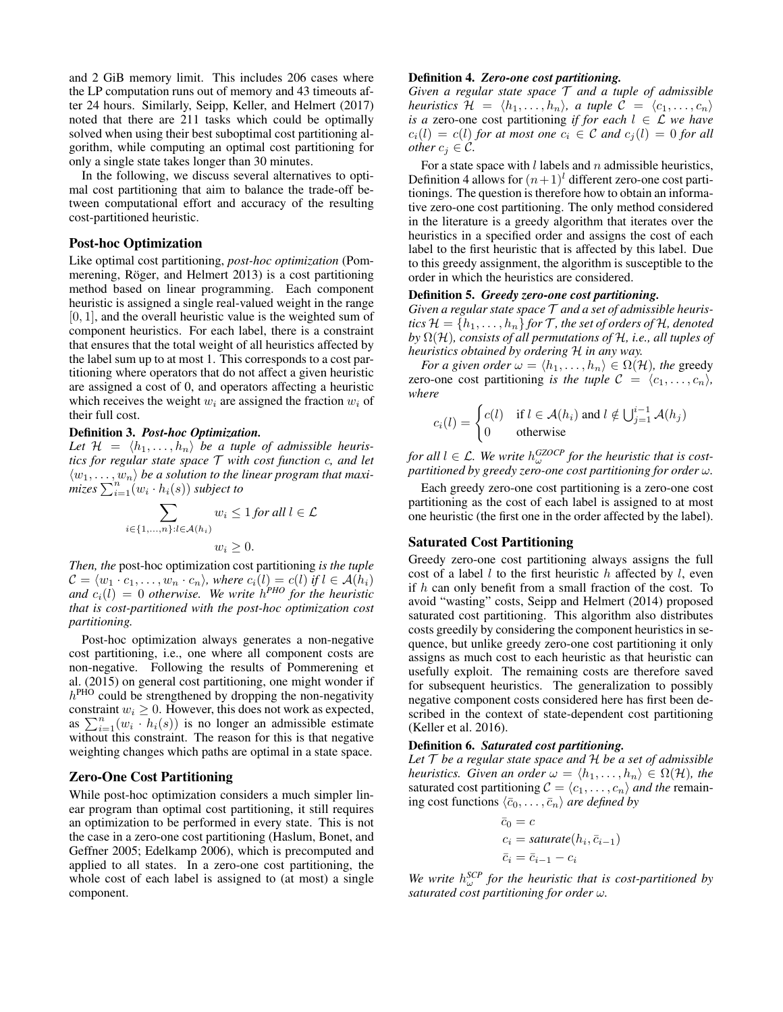and 2 GiB memory limit. This includes 206 cases where the LP computation runs out of memory and 43 timeouts after 24 hours. Similarly, Seipp, Keller, and Helmert (2017) noted that there are 211 tasks which could be optimally solved when using their best suboptimal cost partitioning algorithm, while computing an optimal cost partitioning for only a single state takes longer than 30 minutes.

In the following, we discuss several alternatives to optimal cost partitioning that aim to balance the trade-off between computational effort and accuracy of the resulting cost-partitioned heuristic.

## Post-hoc Optimization

Like optimal cost partitioning, *post-hoc optimization* (Pommerening, Röger, and Helmert 2013) is a cost partitioning method based on linear programming. Each component heuristic is assigned a single real-valued weight in the range  $[0, 1]$ , and the overall heuristic value is the weighted sum of component heuristics. For each label, there is a constraint that ensures that the total weight of all heuristics affected by the label sum up to at most 1. This corresponds to a cost partitioning where operators that do not affect a given heuristic are assigned a cost of 0, and operators affecting a heuristic which receives the weight  $w_i$  are assigned the fraction  $w_i$  of their full cost.

#### Definition 3. *Post-hoc Optimization.*

Let  $\mathcal{H} = \langle h_1, \ldots, h_n \rangle$  be a tuple of admissible heuris*tics for regular state space* T *with cost function* c*, and let*  $\langle w_1, \ldots, w_n \rangle$  be a solution to the linear program that maxi- $\overline{\text{mizes}} \sum_{i=1}^{n} (w_i \cdot h_i(s))$  *subject to* 

$$
\sum_{i \in \{1, \dots, n\}: l \in \mathcal{A}(h_i)} w_i \le 1 \text{ for all } l \in \mathcal{L}
$$

$$
w_i \ge 0.
$$

*Then, the* post-hoc optimization cost partitioning *is the tuple*  $\mathcal{C} = \langle w_1 \cdot c_1, \ldots, w_n \cdot c_n \rangle$ , where  $c_i(l) = c(l)$  *if*  $l \in \mathcal{A}(h_i)$ and  $c_i(l) = 0$  otherwise. We write  $h^{PHO}$  for the heuristic *that is cost-partitioned with the post-hoc optimization cost partitioning.*

Post-hoc optimization always generates a non-negative cost partitioning, i.e., one where all component costs are non-negative. Following the results of Pommerening et al. (2015) on general cost partitioning, one might wonder if  $h<sup>PHO</sup>$  could be strengthened by dropping the non-negativity constraint  $w_i \geq 0$ . However, this does not work as expected, as  $\sum_{i=1}^{n} (w_i \cdot h_i(s))$  is no longer an admissible estimate without this constraint. The reason for this is that negative weighting changes which paths are optimal in a state space.

#### Zero-One Cost Partitioning

While post-hoc optimization considers a much simpler linear program than optimal cost partitioning, it still requires an optimization to be performed in every state. This is not the case in a zero-one cost partitioning (Haslum, Bonet, and Geffner 2005; Edelkamp 2006), which is precomputed and applied to all states. In a zero-one cost partitioning, the whole cost of each label is assigned to (at most) a single component.

## Definition 4. *Zero-one cost partitioning.*

*Given a regular state space* T *and a tuple of admissible heuristics*  $\mathcal{H} = \langle h_1, \ldots, h_n \rangle$ , a tuple  $\mathcal{C} = \langle c_1, \ldots, c_n \rangle$ *is a* zero-one cost partitioning *if for each*  $l \in \mathcal{L}$  *we have*  $c_i(l) = c(l)$  *for at most one*  $c_i \in C$  *and*  $c_j(l) = 0$  *for all other*  $c_j \in \mathcal{C}$ *.* 

For a state space with  $l$  labels and  $n$  admissible heuristics, Definition 4 allows for  $(n+1)^l$  different zero-one cost partitionings. The question is therefore how to obtain an informative zero-one cost partitioning. The only method considered in the literature is a greedy algorithm that iterates over the heuristics in a specified order and assigns the cost of each label to the first heuristic that is affected by this label. Due to this greedy assignment, the algorithm is susceptible to the order in which the heuristics are considered.

## Definition 5. *Greedy zero-one cost partitioning.*

*Given a regular state space* T *and a set of admissible heuristics*  $\mathcal{H} = \{h_1, \ldots, h_n\}$  *for*  $\mathcal{T}$ *, the set of orders of*  $\mathcal{H}$ *, denoted by* Ω(H)*, consists of all permutations of* H*, i.e., all tuples of heuristics obtained by ordering* H *in any way.*

*For a given order*  $\omega = \langle h_1, \ldots, h_n \rangle \in \Omega(\mathcal{H})$ *, the greedy* zero-one cost partitioning *is the tuple*  $C = \langle c_1, \ldots, c_n \rangle$ , *where*

$$
c_i(l) = \begin{cases} c(l) & \text{if } l \in \mathcal{A}(h_i) \text{ and } l \notin \bigcup_{j=1}^{i-1} \mathcal{A}(h_j) \\ 0 & \text{otherwise} \end{cases}
$$

*for all*  $l \in \mathcal{L}$ . We write  $h_{\omega}^{GZOCP}$  for the heuristic that is cost*partitioned by greedy zero-one cost partitioning for order* ω*.*

Each greedy zero-one cost partitioning is a zero-one cost partitioning as the cost of each label is assigned to at most one heuristic (the first one in the order affected by the label).

#### Saturated Cost Partitioning

Greedy zero-one cost partitioning always assigns the full cost of a label  $l$  to the first heuristic  $h$  affected by  $l$ , even if  $h$  can only benefit from a small fraction of the cost. To avoid "wasting" costs, Seipp and Helmert (2014) proposed saturated cost partitioning. This algorithm also distributes costs greedily by considering the component heuristics in sequence, but unlike greedy zero-one cost partitioning it only assigns as much cost to each heuristic as that heuristic can usefully exploit. The remaining costs are therefore saved for subsequent heuristics. The generalization to possibly negative component costs considered here has first been described in the context of state-dependent cost partitioning (Keller et al. 2016).

#### Definition 6. *Saturated cost partitioning.*

*Let* T *be a regular state space and* H *be a set of admissible heuristics. Given an order*  $\omega = \langle h_1, \ldots, h_n \rangle \in \Omega(\mathcal{H})$ *, the* saturated cost partitioning  $C = \langle c_1, \ldots, c_n \rangle$  *and the* remaining cost functions  $\langle \bar{c}_0, \ldots, \bar{c}_n \rangle$  *are defined by* 

$$
\bar{c}_0 = c
$$
  
\n
$$
c_i = saturate(h_i, \bar{c}_{i-1})
$$
  
\n
$$
\bar{c}_i = \bar{c}_{i-1} - c_i
$$

*We write*  $h_{\omega}^{SCP}$  for the heuristic that is cost-partitioned by *saturated cost partitioning for order* ω*.*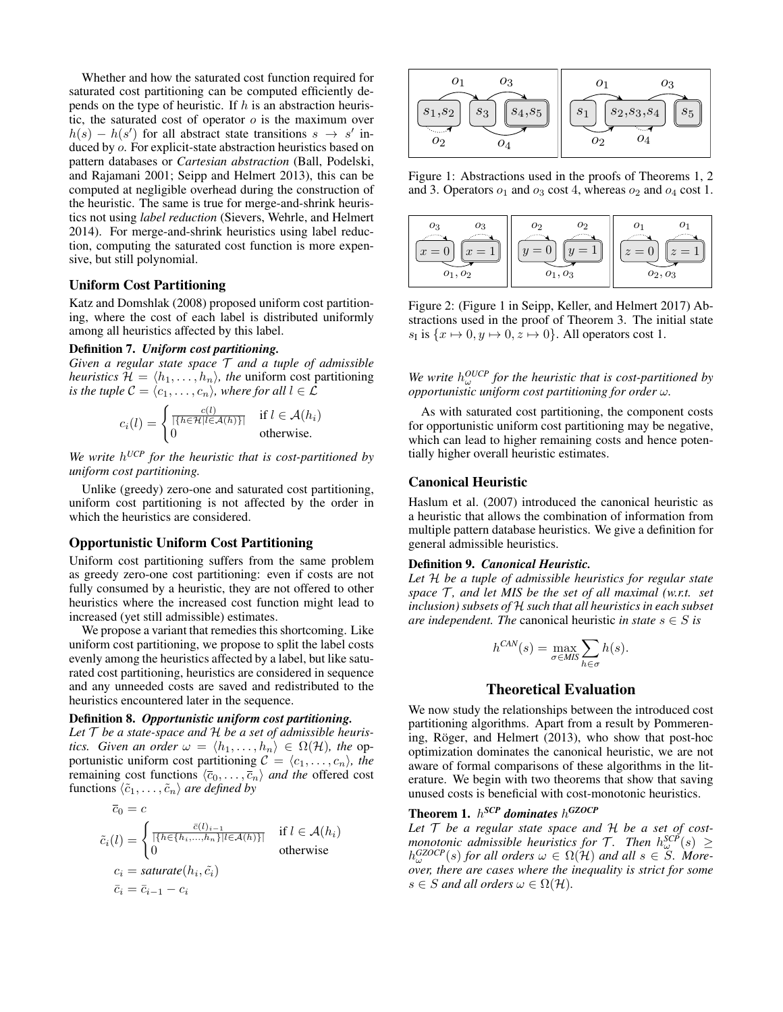Whether and how the saturated cost function required for saturated cost partitioning can be computed efficiently depends on the type of heuristic. If  $h$  is an abstraction heuristic, the saturated cost of operator  $o$  is the maximum over  $h(s) - h(s')$  for all abstract state transitions  $s \to s'$  induced by o. For explicit-state abstraction heuristics based on pattern databases or *Cartesian abstraction* (Ball, Podelski, and Rajamani 2001; Seipp and Helmert 2013), this can be computed at negligible overhead during the construction of the heuristic. The same is true for merge-and-shrink heuristics not using *label reduction* (Sievers, Wehrle, and Helmert 2014). For merge-and-shrink heuristics using label reduction, computing the saturated cost function is more expensive, but still polynomial.

#### Uniform Cost Partitioning

Katz and Domshlak (2008) proposed uniform cost partitioning, where the cost of each label is distributed uniformly among all heuristics affected by this label.

#### Definition 7. *Uniform cost partitioning.*

*Given a regular state space* T *and a tuple of admissible heuristics*  $\mathcal{H} = \langle h_1, \ldots, h_n \rangle$ *, the uniform cost partitioning is the tuple*  $C = \langle c_1, \ldots, c_n \rangle$ , where for all  $l \in \mathcal{L}$ 

$$
c_i(l) = \begin{cases} \frac{c(l)}{|\{h \in \mathcal{H} | l \in \mathcal{A}(h)\}|} & \text{if } l \in \mathcal{A}(h_i) \\ 0 & \text{otherwise.} \end{cases}
$$

*We write* h *UCP for the heuristic that is cost-partitioned by uniform cost partitioning.*

Unlike (greedy) zero-one and saturated cost partitioning, uniform cost partitioning is not affected by the order in which the heuristics are considered.

#### Opportunistic Uniform Cost Partitioning

Uniform cost partitioning suffers from the same problem as greedy zero-one cost partitioning: even if costs are not fully consumed by a heuristic, they are not offered to other heuristics where the increased cost function might lead to increased (yet still admissible) estimates.

We propose a variant that remedies this shortcoming. Like uniform cost partitioning, we propose to split the label costs evenly among the heuristics affected by a label, but like saturated cost partitioning, heuristics are considered in sequence and any unneeded costs are saved and redistributed to the heuristics encountered later in the sequence.

## Definition 8. *Opportunistic uniform cost partitioning.*

*Let* T *be a state-space and* H *be a set of admissible heuristics. Given an order*  $\omega = \langle h_1, \ldots, h_n \rangle \in \Omega(\mathcal{H})$ *, the* opportunistic uniform cost partitioning  $C = \langle c_1, \ldots, c_n \rangle$ , the remaining cost functions  $\langle \overline{c}_0, \ldots, \overline{c}_n \rangle$  *and the* offered cost functions  $\langle \tilde{c}_1, \ldots, \tilde{c}_n \rangle$  *are defined by* 

$$
\overline{c}_0 = c
$$
\n
$$
\tilde{c}_i(l) = \begin{cases}\n\frac{\overline{c}(l)_{i-1}}{\left[\{h \in \{h_i, \dots, h_n\} | l \in \mathcal{A}(h)\}\right]} & \text{if } l \in \mathcal{A}(h_i) \\
0 & \text{otherwise}\n\end{cases}
$$
\n
$$
c_i = \text{saturate}(h_i, \tilde{c}_i)
$$
\n
$$
\overline{c}_i = \overline{c}_{i-1} - c_i
$$



Figure 1: Abstractions used in the proofs of Theorems 1, 2 and 3. Operators  $o_1$  and  $o_3$  cost 4, whereas  $o_2$  and  $o_4$  cost 1.



Figure 2: (Figure 1 in Seipp, Keller, and Helmert 2017) Abstractions used in the proof of Theorem 3. The initial state  $s_I$  is  $\{x \mapsto 0, y \mapsto 0, z \mapsto 0\}$ . All operators cost 1.

We write  $h_{\omega}^{OUCP}$  for the heuristic that is cost-partitioned by *opportunistic uniform cost partitioning for order* ω*.*

As with saturated cost partitioning, the component costs for opportunistic uniform cost partitioning may be negative, which can lead to higher remaining costs and hence potentially higher overall heuristic estimates.

#### Canonical Heuristic

Haslum et al. (2007) introduced the canonical heuristic as a heuristic that allows the combination of information from multiple pattern database heuristics. We give a definition for general admissible heuristics.

#### Definition 9. *Canonical Heuristic.*

*Let* H *be a tuple of admissible heuristics for regular state space*  $\mathcal{T}$ *, and let MIS be the set of all maximal (w.r.t. set inclusion) subsets of* H *such that all heuristics in each subset are independent. The* canonical heuristic *in state*  $s \in S$  *is* 

$$
h^{CAN}(s) = \max_{\sigma \in MIS} \sum_{h \in \sigma} h(s).
$$

# Theoretical Evaluation

We now study the relationships between the introduced cost partitioning algorithms. Apart from a result by Pommerening, Röger, and Helmert (2013), who show that post-hoc optimization dominates the canonical heuristic, we are not aware of formal comparisons of these algorithms in the literature. We begin with two theorems that show that saving unused costs is beneficial with cost-monotonic heuristics.

# Theorem 1. h *SCP dominates* h *GZOCP*

*Let* T *be a regular state space and* H *be a set of costmonotonic admissible heuristics for*  $\mathcal{T}$ *. Then*  $h_{\omega}^{SCP}(s) \geq$  $h_{\omega}^{GZOCP}(s)$  *for all orders*  $\omega \in \Omega(\mathcal{H})$  *and all*  $s \in \mathcal{S}$ *. Moreover, there are cases where the inequality is strict for some*  $s \in S$  *and all orders*  $\omega \in \Omega(\mathcal{H})$ *.*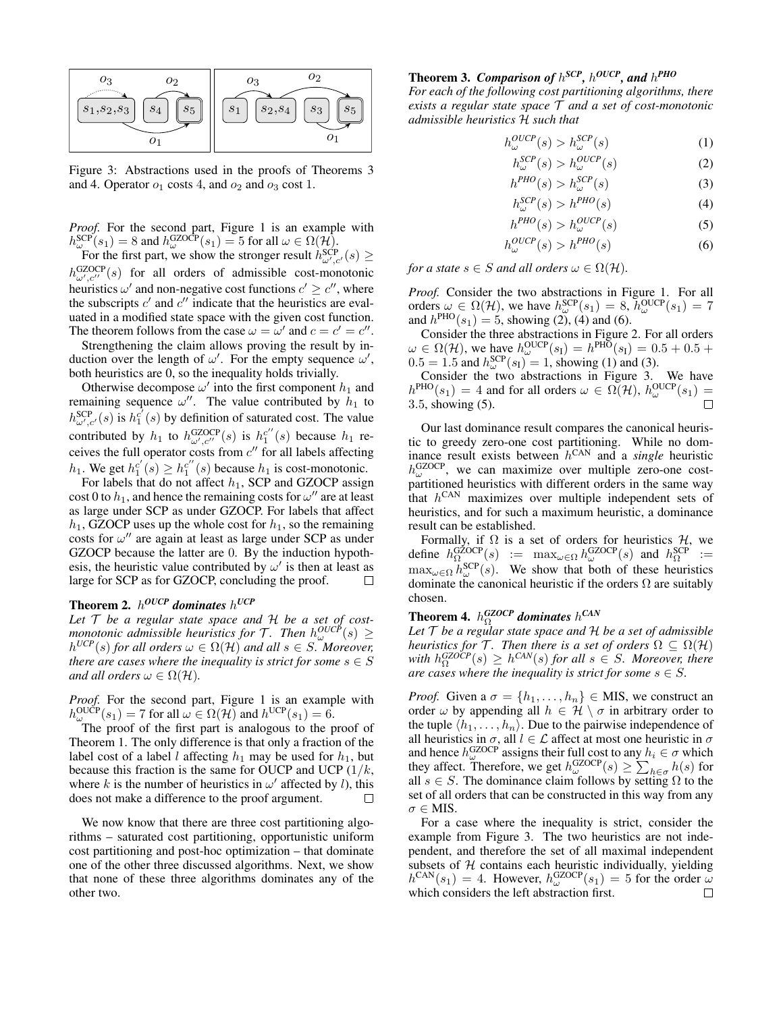

Figure 3: Abstractions used in the proofs of Theorems 3 and 4. Operator  $o_1$  costs 4, and  $o_2$  and  $o_3$  cost 1.

*Proof.* For the second part, Figure 1 is an example with  $h_{\omega}^{\text{SCP}}(s_1) = 8$  and  $h_{\omega}^{\text{GZOCP}}(s_1) = 5$  for all  $\omega \in \Omega(\mathcal{H})$ .

For the first part, we show the stronger result  $h_{\omega',c'}^{SCP}(s) \geq$  $h_{\omega',c''}^{\text{GZOCP}}(s)$  for all orders of admissible cost-monotonic heuristics  $\omega'$  and non-negative cost functions  $c' \geq c''$ , where the subscripts  $c'$  and  $c''$  indicate that the heuristics are evaluated in a modified state space with the given cost function. The theorem follows from the case  $\omega = \omega'$  and  $c = c' = c''$ .

Strengthening the claim allows proving the result by induction over the length of  $\omega'$ . For the empty sequence  $\omega'$ , both heuristics are 0, so the inequality holds trivially.

Otherwise decompose  $\omega'$  into the first component  $h_1$  and remaining sequence  $\omega''$ . The value contributed by  $h_1$  to  $h_{\omega',c'}^{SCP}$  (s) is  $h_1^{c'}(s)$  by definition of saturated cost. The value contributed by  $h_1$  to  $h_{\omega',c''}^{GZOCP}(s)$  is  $h_1^{c''}(s)$  because  $h_1$  receives the full operator costs from  $c''$  for all labels affecting  $h_1$ . We get  $h_1^{c'}(s) \geq h_1^{c''}(s)$  because  $h_1$  is cost-monotonic.

For labels that do not affect  $h_1$ , SCP and GZOCP assign cost 0 to  $h_1$ , and hence the remaining costs for  $\omega''$  are at least as large under SCP as under GZOCP. For labels that affect  $h_1$ , GZOCP uses up the whole cost for  $h_1$ , so the remaining costs for  $\omega''$  are again at least as large under SCP as under GZOCP because the latter are 0. By the induction hypothesis, the heuristic value contributed by  $\omega'$  is then at least as large for SCP as for GZOCP, concluding the proof.  $\Box$ 

# **Theorem 2.**  $h^{OUCP}$  dominates  $h^{UCP}$

*Let* T *be a regular state space and* H *be a set of costmonotonic admissible heuristics for*  $\mathcal{T}$ *. Then*  $h_{\omega}^{OUCP}(s) \geq$  $h^{UCP}(s)$  *for all orders*  $\omega \in \Omega(\mathcal{H})$  *and all*  $s \in S$ . Moreover, *there are cases where the inequality is strict for some*  $s \in S$ *and all orders*  $\omega \in \Omega(\mathcal{H})$ *.* 

*Proof.* For the second part, Figure 1 is an example with  $h_{\omega}^{\text{OUCP}}(s_1) = 7$  for all  $\omega \in \Omega(\mathcal{H})$  and  $h^{\text{UCP}}(s_1) = 6$ .

The proof of the first part is analogous to the proof of Theorem 1. The only difference is that only a fraction of the label cost of a label *l* affecting  $h_1$  may be used for  $h_1$ , but because this fraction is the same for OUCP and UCP  $(1/k,$ where k is the number of heuristics in  $\omega'$  affected by l), this does not make a difference to the proof argument.  $\Box$ 

We now know that there are three cost partitioning algorithms – saturated cost partitioning, opportunistic uniform cost partitioning and post-hoc optimization – that dominate one of the other three discussed algorithms. Next, we show that none of these three algorithms dominates any of the other two.

# **Theorem 3. Comparison of**  $h^{SCP}$ ,  $h^{OUCP}$ , and  $h^{PHO}$

*For each of the following cost partitioning algorithms, there exists a regular state space* T *and a set of cost-monotonic admissible heuristics* H *such that*

$$
h_{\omega}^{OUCP}(s) > h_{\omega}^{SCP}(s)
$$
 (1)

$$
h_{\omega}^{SCP}(s) > h_{\omega}^{OUCP}(s)
$$
 (2)

$$
h^{PHO}(s) > h^{SCP}_{\omega}(s)
$$
 (3)

$$
h_{\omega}^{SCP}(s) > h^{PHO}(s)
$$
\n(4)

$$
h^{PHO}(s) > h_{\omega}^{OUCP}(s)
$$
 (5)

$$
h_{\omega}^{OUCP}(s) > h^{PHO}(s)
$$
 (6)

*for a state*  $s \in S$  *and all orders*  $\omega \in \Omega(\mathcal{H})$ *.* 

*Proof.* Consider the two abstractions in Figure 1. For all orders  $\omega \in \Omega(\mathcal{H})$ , we have  $h_{\omega}^{\text{SCP}}(s_1) = 8$ ,  $h_{\omega}^{\text{OUCP}}(s_1) = 7$ and  $h^{\text{PHO}}(s_1) = 5$ , showing (2), (4) and (6).

Consider the three abstractions in Figure 2. For all orders  $\omega \in \Omega(\mathcal{H})$ , we have  $h_{\omega}^{\text{OUCP}}(s_1) = h^{\text{PHO}}(s_1) = 0.5 + 0.5 + 1$  $0.5 = 1.5$  and  $h_{\omega}^{\text{SCP}}(s_1) = 1$ , showing (1) and (3).

Consider the two abstractions in Figure 3. We have  $h^{\text{PHO}}(s_1) = 4$  and for all orders  $\omega \in \Omega(\mathcal{H}), h^{\text{OUCP}}_{\omega}(s_1) =$ 3.5, showing (5).

Our last dominance result compares the canonical heuristic to greedy zero-one cost partitioning. While no dominance result exists between h CAN and a *single* heuristic  $h_{\omega}^{\text{GZOCP}}$ , we can maximize over multiple zero-one costpartitioned heuristics with different orders in the same way that  $h^{\text{CAN}}$  maximizes over multiple independent sets of heuristics, and for such a maximum heuristic, a dominance result can be established.

Formally, if  $\Omega$  is a set of orders for heuristics  $\mathcal{H}$ , we define  $h_{\Omega_{\text{com}}}^{\text{GZOCP}}(s) := \max_{\omega \in \Omega} h_{\omega}^{\text{GZOCP}}(s)$  and  $h_{\Omega}^{\text{SCP}} :=$  $\max_{\omega \in \Omega} h_{\omega}^{\text{SCP}}(s)$ . We show that both of these heuristics dominate the canonical heuristic if the orders  $\Omega$  are suitably chosen.

# **Theorem 4.**  $h_{\Omega}^{GZOCP}$  dominates  $h^{CAN}$

*Let* T *be a regular state space and* H *be a set of admissible heuristics for*  $\mathcal{T}$ *. Then there is a set of orders*  $\Omega \subseteq \Omega(\mathcal{H})$ with  $h_{\Omega}^{\text{GZOCP}}(s) \geq h^{\text{CAN}}(s)$  *for all*  $s \in S$ *. Moreover, there are cases where the inequality is strict for some*  $s \in S$ *.* 

*Proof.* Given a  $\sigma = \{h_1, \ldots, h_n\} \in \text{MIS}$ , we construct an order  $\omega$  by appending all  $h \in \mathcal{H} \setminus \sigma$  in arbitrary order to the tuple  $\langle h_1, \ldots, h_n \rangle$ . Due to the pairwise independence of all heuristics in  $\sigma$ , all  $l \in \mathcal{L}$  affect at most one heuristic in  $\sigma$ and hence  $h_{\omega}^{\text{GZOCP}}$  assigns their full cost to any  $h_i \in \sigma$  which they affect. Therefore, we get  $h_{\omega}^{\text{GZOCP}}(s) \ge \sum_{h \in \sigma} h(s)$  for all  $s \in S$ . The dominance claim follows by setting  $\Omega$  to the set of all orders that can be constructed in this way from any  $\sigma \in MIS$ .

For a case where the inequality is strict, consider the example from Figure 3. The two heuristics are not independent, and therefore the set of all maximal independent subsets of  $H$  contains each heuristic individually, yielding  $h^{\text{CAN}}(s_1) = 4$ . However,  $h^{\text{GZOCP}}_{\omega}(s_1) = 5$  for the order  $\omega$ which considers the left abstraction first.□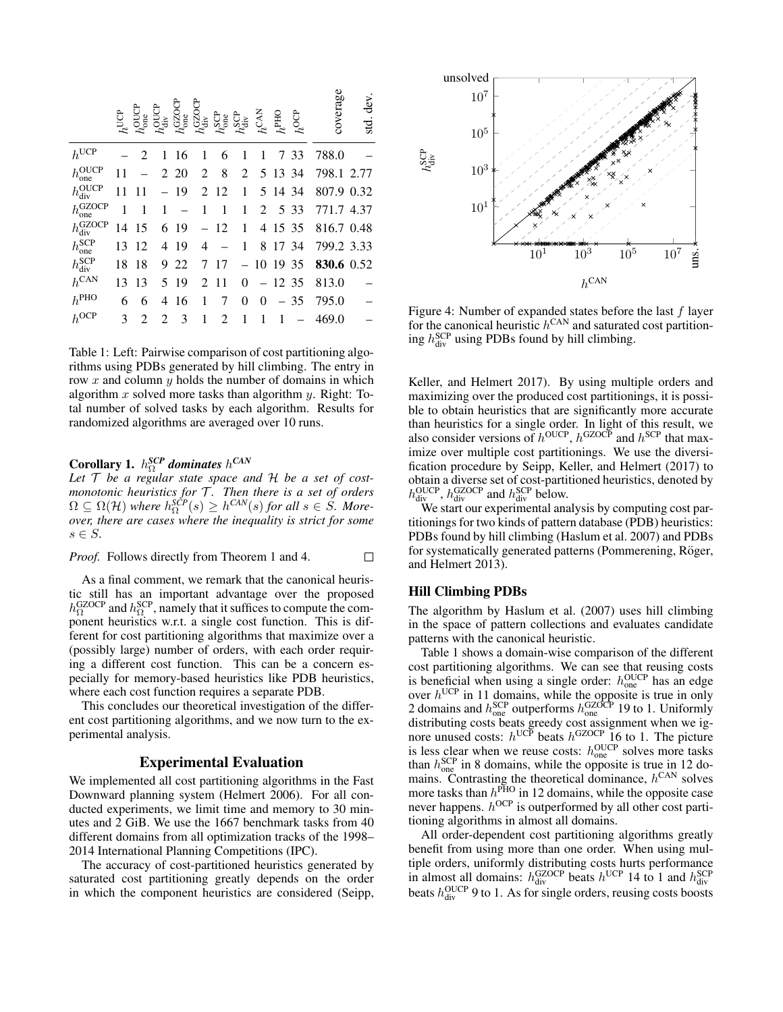|                                 | $h^{\rm UCP}$ | $h^{\rm OUT}_{\rm occ}$<br>one | $\breve{h}^{\rm Q}_{\rm div}$ | $h_{\text{one}}^{\text{GZOC}}$ | $h_{\rm div}^{\rm GZOCP}$ | $h_{\text{one}}^{\text{SCP}}$ | $h^{\rm SP}_{\rm div}$ | $h^{\rm CAN}$ | $h^{\mathrm{PHO}}$ | $h^{\rm OCP}$ | coverage   | dev<br>std. |
|---------------------------------|---------------|--------------------------------|-------------------------------|--------------------------------|---------------------------|-------------------------------|------------------------|---------------|--------------------|---------------|------------|-------------|
| $h^{\text{UCP}}$                |               | 2                              | 1                             | 16                             | 1                         | 6                             | 1                      | 1             | 7                  | 33            | 788.0      |             |
| $h_{one}^{\text{OUCP}}$         | 11            |                                |                               | 2 20                           | 2                         | 8                             | 2                      |               | 5 13 34            |               | 798.1      | 2.77        |
| $h_{\text{div}}^{\text{OUCP}}$  | 11            | 11                             |                               | 19                             | 2                         | 12                            | 1                      |               | 5 14               | 34            | 807.9      | 0.32        |
| $h_{\rm one}^{\rm GZOCP}$       | 1             | 1                              | 1                             |                                | 1                         | 1                             | 1                      | 2             |                    | 5 3 3         | 771.7      | 4.37        |
| $h_{\text{div}}^{\text{GZOCP}}$ | 14            | 15                             | 6                             | 19                             |                           | 12                            | 1                      | 4             | 15 35              |               | 816.7 0.48 |             |
| $h_{one}^{SCP}$                 | 13            | 12                             | 4                             | -19                            | 4                         |                               | 1                      | 8             | 17                 | 34            | 799.2 3.33 |             |
| $h_{\text{div}}^{\text{SCP}}$   | 18            | 18                             | 9                             | 22                             | 7                         | 17                            |                        |               | 10 19 35           |               | 830.6 0.52 |             |
| $h^{\text{CAN}}$                | 13            | 13                             | 5                             | 19                             | 2                         | 11                            | 0                      |               |                    | 12 35         | 813.0      |             |
| $h^{\text{PHO}}$                | 6             | 6                              | 4                             | 16                             | 1                         | 7                             | 0                      | 0             |                    | 35            | 795.0      |             |
| $h^{\rm OCP}$                   | 3             | 2                              | $\mathfrak{D}$                | 3                              | 1                         | 2                             | 1                      | 1             | 1                  |               | 469.0      |             |

Table 1: Left: Pairwise comparison of cost partitioning algorithms using PDBs generated by hill climbing. The entry in row  $x$  and column  $y$  holds the number of domains in which algorithm x solved more tasks than algorithm y. Right: Total number of solved tasks by each algorithm. Results for randomized algorithms are averaged over 10 runs.

# Corollary 1.  $h_{\Omega}^{SCP}$  dominates  $h^{CAN}$

*Let* T *be a regular state space and* H *be a set of costmonotonic heuristics for* T *. Then there is a set of orders*  $\Omega \subseteq \Omega(\mathcal{H})$  where  $h_{\Omega}^{SCP}(s) \geq h^{CAN}(s)$  for all  $s \in S$ . More*over, there are cases where the inequality is strict for some*  $s \in S$ .

*Proof.* Follows directly from Theorem 1 and 4.  $\Box$ 

As a final comment, we remark that the canonical heuristic still has an important advantage over the proposed  $h_{\Omega}^{\text{GZOCP}}$  and  $h_{\Omega}^{\text{SCP}}$ , namely that it suffices to compute the component heuristics w.r.t. a single cost function. This is different for cost partitioning algorithms that maximize over a (possibly large) number of orders, with each order requiring a different cost function. This can be a concern especially for memory-based heuristics like PDB heuristics, where each cost function requires a separate PDB.

This concludes our theoretical investigation of the different cost partitioning algorithms, and we now turn to the experimental analysis.

## Experimental Evaluation

We implemented all cost partitioning algorithms in the Fast Downward planning system (Helmert 2006). For all conducted experiments, we limit time and memory to 30 minutes and 2 GiB. We use the 1667 benchmark tasks from 40 different domains from all optimization tracks of the 1998– 2014 International Planning Competitions (IPC).

The accuracy of cost-partitioned heuristics generated by saturated cost partitioning greatly depends on the order in which the component heuristics are considered (Seipp,



Figure 4: Number of expanded states before the last  $f$  layer for the canonical heuristic  $h^{\text{CAN}}$  and saturated cost partitioning  $h_{div}^{SCP}$  using PDBs found by hill climbing.

Keller, and Helmert 2017). By using multiple orders and maximizing over the produced cost partitionings, it is possible to obtain heuristics that are significantly more accurate than heuristics for a single order. In light of this result, we also consider versions of  $h^{\text{OUCP}}$ ,  $h^{\text{GZOCP}}$  and  $h^{\text{SCP}}$  that maximize over multiple cost partitionings. We use the diversification procedure by Seipp, Keller, and Helmert (2017) to obtain a diverse set of cost-partitioned heuristics, denoted by  $h_{\text{div}}^{\text{OUCP}}$ ,  $h_{\text{div}}^{\text{GZOCP}}$  and  $h_{\text{div}}^{\text{SCP}}$  below.

We start our experimental analysis by computing cost partitionings for two kinds of pattern database (PDB) heuristics: PDBs found by hill climbing (Haslum et al. 2007) and PDBs for systematically generated patterns (Pommerening, Röger, and Helmert 2013).

#### Hill Climbing PDBs

The algorithm by Haslum et al. (2007) uses hill climbing in the space of pattern collections and evaluates candidate patterns with the canonical heuristic.

Table 1 shows a domain-wise comparison of the different cost partitioning algorithms. We can see that reusing costs is beneficial when using a single order:  $h_{one}^{OUCP}$  has an edge over  $h^{\text{UCP}}$  in 11 domains, while the opposite is true in only 2 domains and  $h_{one}^{\text{SCP}}$  outperforms  $h_{one}^{\text{GZOCP}}$  19 to 1. Uniformly distributing costs beats greedy cost assignment when we ignore unused costs:  $h^{UCP}$  beats  $h^{GZOCP}$  16 to 1. The picture is less clear when we reuse costs:  $h_{one}^{OUCP}$  solves more tasks than  $h_{\text{one}}^{\text{SCP}}$  in 8 domains, while the opposite is true in 12 domains. Contrasting the theoretical dominance,  $h^{\text{CAN}}$  solves more tasks than  $h^{\text{PHO}}$  in 12 domains, while the opposite case never happens.  $h^{OCP}$  is outperformed by all other cost partitioning algorithms in almost all domains.

All order-dependent cost partitioning algorithms greatly benefit from using more than one order. When using multiple orders, uniformly distributing costs hurts performance in almost all domains:  $h_{div}^{GZOCP}$  beats  $h^{UCP}$  14 to 1 and  $h_{div}^{SCP}$ beats  $h_{div}^{OUCP}$  9 to 1. As for single orders, reusing costs boosts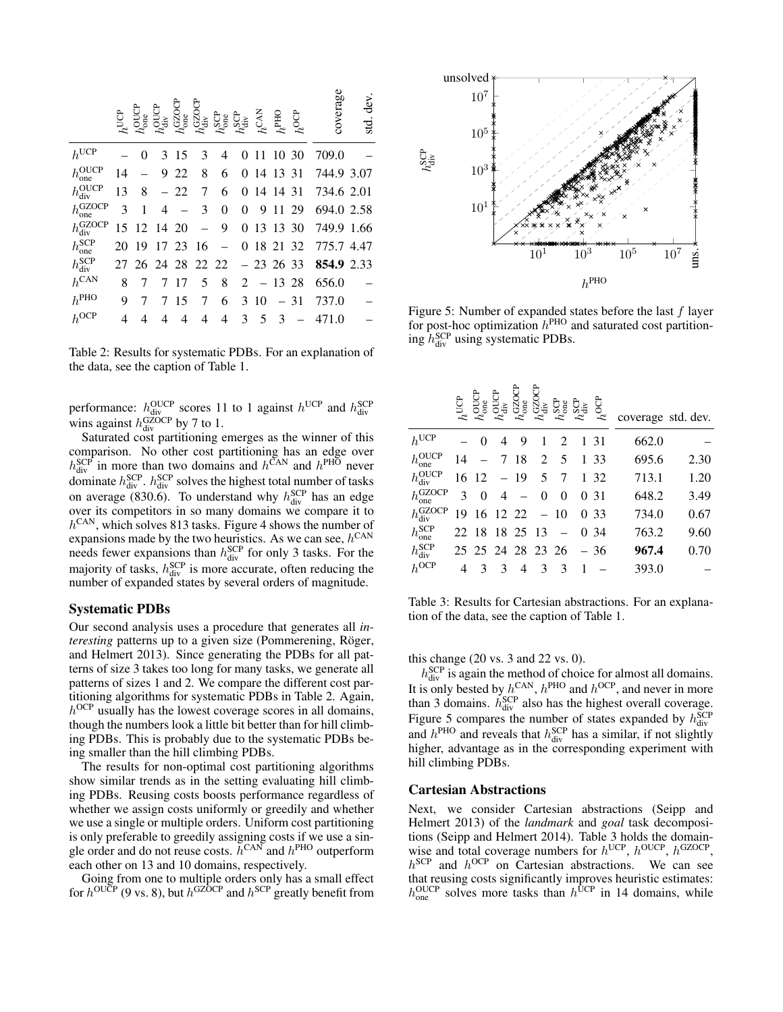|                                 | $h^{\text{UCP}}$ | $h_{\text{one}}^{\text{OUCP}}$ | $h_{\rm div}^{\rm OU}$ | $h_{\text{one}}^{\text{GZC}}$ | $h_{\text{div}}^{\text{GZOCP}}$ | $h_{\rm one}^{\rm SCP}$ | $h^{\rm SP}_{\rm div}$ | $h^{\rm CAN}$ | $h^{\mathrm{PHO}}$ | $h^{\rm OCP}$ | coverage   | dev<br>std. |
|---------------------------------|------------------|--------------------------------|------------------------|-------------------------------|---------------------------------|-------------------------|------------------------|---------------|--------------------|---------------|------------|-------------|
| $h^{\text{UCP}}$                |                  | 0                              | 3                      | 15                            | 3                               | 4                       | 0                      | 11            |                    | 10 30         | 709.0      |             |
| $h_{one}^{\text{OUCP}}$         | 14               |                                | 9                      | 22                            | 8                               | 6                       |                        |               | 0 14 13 31         |               | 744.9 3.07 |             |
| $h_{\text{div}}^{\text{OUCP}}$  | 13               | 8                              |                        | 22                            | 7                               | 6                       | 0                      |               | 14 14 31           |               | 734.6 2.01 |             |
| $h_{one}^{\text{GZOCP}}$        | 3                | 1                              | 4                      |                               | 3                               | 0                       | 0                      | 9             | 11                 | 29            | 694.0 2.58 |             |
| $h_{\text{div}}^{\text{GZOCP}}$ | 15               | 12                             | 14 20                  |                               |                                 | 9                       | 0                      |               | 13 13 30           |               | 749.9      | 1.66        |
| $h_{one}^{SCP}$                 | 20               | 19                             |                        | 17 23                         | 16                              |                         |                        |               | 0 18 21 32         |               | 775.7 4.47 |             |
| $h_{\rm div}^{\rm{SCP}}$        | 27               |                                |                        |                               | 26 24 28 22 22                  |                         |                        |               | $-23, 26, 33$      |               | 854.9 2.33 |             |
| $h^{\text{CAN}}$                | 8                |                                | 7                      | 17                            | 5                               | 8                       | 2                      |               | $-1328$            |               | 656.0      |             |
| $h^{\text{PHO}}$                | 9                |                                |                        | 15                            | 7                               | 6                       | 3                      | 10            |                    | 31            | 737.0      |             |
| $h^{\rm OCP}$                   | 4                | 4                              | 4                      | 4                             | 4                               | 4                       | 3                      | 5             | 3                  |               | 471.0      |             |

Table 2: Results for systematic PDBs. For an explanation of the data, see the caption of Table 1.

performance:  $h_{div}^{OUCP}$  scores 11 to 1 against  $h_{div}^{UCP}$  and  $h_{div}^{SCP}$ <br>wins against  $h_{div}^{GZOCP}$  by 7 to 1.

Saturated cost partitioning emerges as the winner of this comparison. No other cost partitioning has an edge over  $h_{div}^{SCP}$  in more than two domains and  $h^{CAN}$  and  $h^{PHO}$  never dominate  $h_{div}^{SCP}$ .  $h_{div}^{SCP}$  solves the highest total number of tasks on average (830.6). To understand why  $h_{div}^{SCP}$  has an edge over its competitors in so many domains we compare it to  $h^{\text{CAN}}$ , which solves 813 tasks. Figure 4 shows the number of expansions made by the two heuristics. As we can see,  $h^{\text{CAN}}$ needs fewer expansions than  $h_{div}^{SCP}$  for only 3 tasks. For the majority of tasks,  $h_{div}^{SCP}$  is more accurate, often reducing the number of expanded states by several orders of magnitude.

#### Systematic PDBs

Our second analysis uses a procedure that generates all *interesting* patterns up to a given size (Pommerening, Röger, and Helmert 2013). Since generating the PDBs for all patterns of size 3 takes too long for many tasks, we generate all patterns of sizes 1 and 2. We compare the different cost partitioning algorithms for systematic PDBs in Table 2. Again,  $h^{OCP}$  usually has the lowest coverage scores in all domains, though the numbers look a little bit better than for hill climbing PDBs. This is probably due to the systematic PDBs being smaller than the hill climbing PDBs.

The results for non-optimal cost partitioning algorithms show similar trends as in the setting evaluating hill climbing PDBs. Reusing costs boosts performance regardless of whether we assign costs uniformly or greedily and whether we use a single or multiple orders. Uniform cost partitioning is only preferable to greedily assigning costs if we use a single order and do not reuse costs.  $h^{\text{CAN}}$  and  $h^{\text{PHO}}$  outperform each other on 13 and 10 domains, respectively.

Going from one to multiple orders only has a small effect for  $h^{\text{OUCP}}$  (9 vs. 8), but  $h^{\text{GZOCP}}$  and  $h^{\text{SCP}}$  greatly benefit from



Figure 5: Number of expanded states before the last  $f$  layer for post-hoc optimization  $h^{\text{PHO}}$  and saturated cost partitioning  $h_{div}^{SCP}$  using systematic PDBs.

|                                 | $h^{\rm UCP}$ | ₿₿            | ಕ್ರ                      | Ñë                       | Šš             | $h_{\rm one}^{\rm SCP}$ | $h^{\rm SCP}_{\rm div}$ | ĝ<br>$\mathcal{L}$ | coverage std. dev. |      |
|---------------------------------|---------------|---------------|--------------------------|--------------------------|----------------|-------------------------|-------------------------|--------------------|--------------------|------|
| $h^{\text{UCP}}$                |               | $\Omega$      | 4                        | 9                        | 1              | 2                       |                         | 1 31               | 662.0              |      |
| $h_{one}^{\text{OUCP}}$         | 14            |               |                          | 7 18                     |                | $2 \quad 5$             |                         | 1 33               | 695.6              | 2.30 |
| $h_{\text{div}}^{\text{OUCP}}$  |               | 16 12         |                          | $-19$                    |                | 5 7                     |                         | 1 32               | 713.1              | 1.20 |
| $h_{one}^{\text{GZOCP}}$        | 3             | $\Omega$      | $\overline{4}$           | $\overline{\phantom{a}}$ | $\overline{0}$ | 0                       |                         | 0 31               | 648.2              | 3.49 |
| $h_{\text{div}}^{\text{GZOCP}}$ |               |               | $19 \t16 \t12 \t22 - 10$ |                          |                |                         |                         | 0 33               | 734.0              | 0.67 |
| $h_{one}^{\text{SCP}}$          |               |               | 22 18 18 25 13           |                          |                | $\sim$                  |                         | 0 34               | 763.2              | 9.60 |
| $h_{\rm div}^{\rm{SCP}}$        |               |               | 25 25 24 28 23 26        |                          |                |                         |                         | $-36$              | 967.4              | 0.70 |
| $h^{\rm OCP}$                   | 4             | $\mathcal{F}$ | 3                        | $\overline{4}$           | 3              | 3                       |                         |                    | 393.0              |      |
|                                 |               |               |                          |                          |                |                         |                         |                    |                    |      |

Table 3: Results for Cartesian abstractions. For an explanation of the data, see the caption of Table 1.

this change (20 vs. 3 and 22 vs. 0).

 $h_{div}^{SCP}$  is again the method of choice for almost all domains. It is only bested by  $h^{\text{CAN}}, h^{\text{PHO}}$  and  $h^{\text{OCP}},$  and never in more than 3 domains.  $\hat{h}_{div}^{SCP}$  also has the highest overall coverage. Figure 5 compares the number of states expanded by  $h_{div}^{SCP}$ and  $h^{\text{PHO}}$  and reveals that  $h^{\text{SCP}}_{div}$  has a similar, if not slightly higher, advantage as in the corresponding experiment with hill climbing PDBs.

#### Cartesian Abstractions

Next, we consider Cartesian abstractions (Seipp and Helmert 2013) of the *landmark* and *goal* task decompositions (Seipp and Helmert 2014). Table 3 holds the domainwise and total coverage numbers for  $h^{UCP}$ ,  $h^{OUCP}$ ,  $h^{GZOCP}$ ,  $h^{\text{SCP}}$  and  $h^{\text{OCP}}$  on Cartesian abstractions. We can see that reusing costs significantly improves heuristic estimates:  $h_{\text{one}}^{\text{OUCP}}$  solves more tasks than  $h^{\text{UCP}}$  in 14 domains, while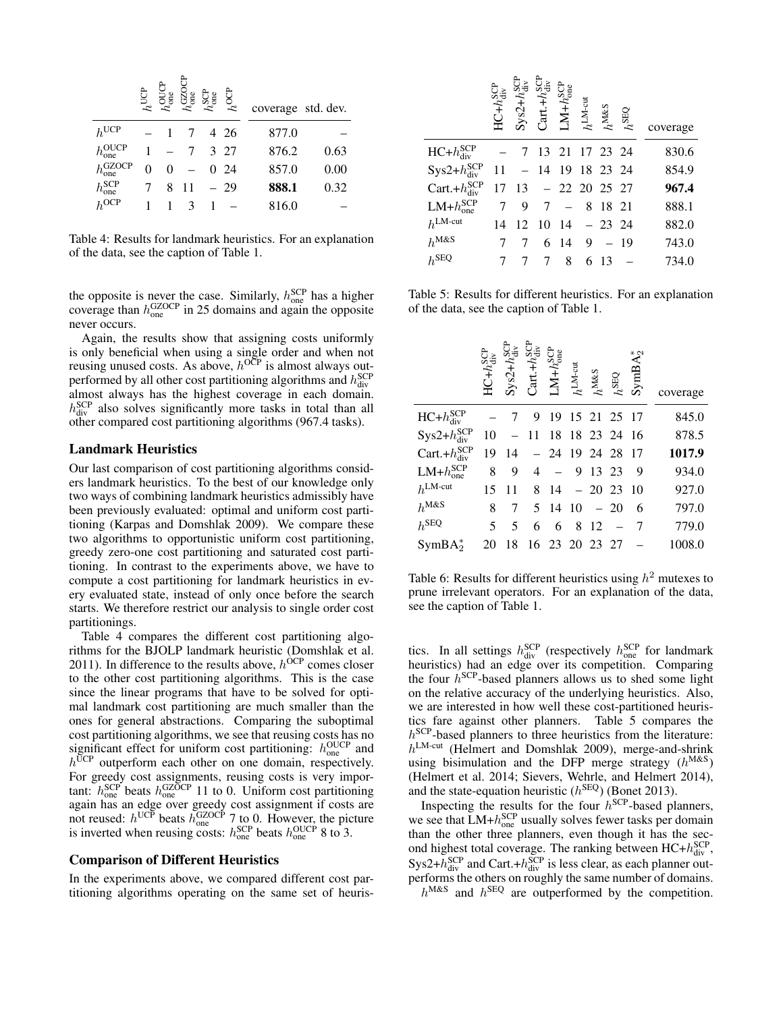|                           | $h^{\mathrm{UCF}}$ | pore<br>Pone | $h_{\rm one}^{\rm GZ}$ | $h_{\rm one}^{\rm SCP}$ | $h^{\rm OCP}$ | coverage std. dev. |      |
|---------------------------|--------------------|--------------|------------------------|-------------------------|---------------|--------------------|------|
| $h^{\text{UCP}}$          |                    |              |                        |                         | 4 26          | 877.0              |      |
| $h_{one}^{OUCP}$          |                    |              |                        |                         | 3 27          | 876.2              | 0.63 |
| $h_{\rm one}^{\rm GZOCP}$ | 0                  |              |                        |                         | 0.24          | 857.0              | 0.00 |
| $h_{one}^{\text{SCP}}$    |                    | 8            | 11                     |                         | $-29$         | 888.1              | 0.32 |
| $h^{OCP}$                 |                    |              |                        |                         |               | 816.0              |      |

Table 4: Results for landmark heuristics. For an explanation of the data, see the caption of Table 1.

the opposite is never the case. Similarly,  $h_{one}^{SCP}$  has a higher coverage than  $h_{one}^{\text{GZOCP}}$  in 25 domains and again the opposite never occurs.

Again, the results show that assigning costs uniformly is only beneficial when using a single order and when not reusing unused costs. As above,  $h^{OCP}$  is almost always outperformed by all other cost partitioning algorithms and  $h_{div}^{SCP}$ almost always has the highest coverage in each domain.  $h_{div}^{SCP}$  also solves significantly more tasks in total than all other compared cost partitioning algorithms (967.4 tasks).

#### Landmark Heuristics

Our last comparison of cost partitioning algorithms considers landmark heuristics. To the best of our knowledge only two ways of combining landmark heuristics admissibly have been previously evaluated: optimal and uniform cost partitioning (Karpas and Domshlak 2009). We compare these two algorithms to opportunistic uniform cost partitioning, greedy zero-one cost partitioning and saturated cost partitioning. In contrast to the experiments above, we have to compute a cost partitioning for landmark heuristics in every evaluated state, instead of only once before the search starts. We therefore restrict our analysis to single order cost partitionings.

Table 4 compares the different cost partitioning algorithms for the BJOLP landmark heuristic (Domshlak et al. 2011). In difference to the results above,  $h^{OCP}$  comes closer to the other cost partitioning algorithms. This is the case since the linear programs that have to be solved for optimal landmark cost partitioning are much smaller than the ones for general abstractions. Comparing the suboptimal cost partitioning algorithms, we see that reusing costs has no significant effect for uniform cost partitioning:  $h_{one}^{OUCP}$  and  $h^{\overline{U}CP}$  outperform each other on one domain, respectively. For greedy cost assignments, reusing costs is very important:  $h_{one}^{\text{SCP}}$  beats  $h_{one}^{\text{GZOCP}}$  11 to 0. Uniform cost partitioning again has an edge over greedy cost assignment if costs are not reused:  $h^{\text{UCP}}$  beats  $h_{\text{one}}^{\text{GZOCP}}$  7 to 0. However, the picture is inverted when reusing costs:  $h_{one}^{SCP}$  beats  $h_{one}^{OUCP}$  8 to 3.

#### Comparison of Different Heuristics

In the experiments above, we compared different cost partitioning algorithms operating on the same set of heuris-

|                        | $HC + h_{div}^{SCI}$ | $Sys2+h_{div}^{SCF}$                                      | $Cart.+h_{\rm div}^{\rm SO}$ | ${\rm LM+}h_{\rm one}^{\rm{SCP}}$ | $h^{\mathrm{LM-cut}}$<br>$h^{\mathrm{M\&S}}$ | $h^{\text{SEQ}}$ | coverage |
|------------------------|----------------------|-----------------------------------------------------------|------------------------------|-----------------------------------|----------------------------------------------|------------------|----------|
| $HC + h_{div}^{SCP}$   |                      | -7                                                        |                              | 13 21 17 23 24                    |                                              |                  | 830.6    |
| $Sys2+h_{div}^{SCP}$   |                      | $11 - 14$ 19 18 23 24                                     |                              |                                   |                                              |                  | 854.9    |
| Cart.+ $h_{div}^{SCP}$ |                      | $17 \quad 13 \quad - \quad 22 \quad 20 \quad 25 \quad 27$ |                              |                                   |                                              |                  | 967.4    |
| $LM + h_{one}^{SCP}$   | 7                    | 9                                                         |                              | $7 - 81821$                       |                                              |                  | 888.1    |
| $h^{\text{LM-cut}}$    | 14                   | 12                                                        | $10 \t14 - 23 \t24$          |                                   |                                              |                  | 882.0    |
| $h^{\text{M&S}}$       |                      |                                                           |                              | $6149 - 19$                       |                                              |                  | 743.0    |
| $h^{\text{SEQ}}$       |                      |                                                           |                              | 8                                 | 6 13                                         |                  | 734.0    |

Table 5: Results for different heuristics. For an explanation of the data, see the caption of Table 1.

|                        | $HC + h_{\rm div}^{\rm SQL}$ | $Sys2+h_{div}^{SQL}$ | $Cart.+h_{div}^{SC}$ | ${\rm LM+}h_{\rm one}^{\rm SCP}$ | $h^{\text{LM-cut}}$ | $h^{\rm{M\&S}}$ | $h^{\rm SEQ}$  | $SymBA_2^*$ | coverage |
|------------------------|------------------------------|----------------------|----------------------|----------------------------------|---------------------|-----------------|----------------|-------------|----------|
| $HC + h_{div}^{SCP}$   |                              |                      | 9                    |                                  |                     |                 | 19 15 21 25 17 |             | 845.0    |
| $Sys2 + h_{div}^{SCP}$ | 10                           |                      | $-11$ 18 18 23 24 16 |                                  |                     |                 |                |             | 878.5    |
| Cart.+ $h_{div}^{SCP}$ | 19                           | 14                   |                      | $-24$ 19 24 28 17                |                     |                 |                |             | 1017.9   |
| $LM + h_{one}^{SCP}$   | 8                            | 9                    | 4                    |                                  |                     | 9 13 23         |                | - 9         | 934.0    |
| $h^{\text{LM-cut}}$    | 15                           | 11                   |                      | 8 14                             |                     |                 | $-20$ 23 10    |             | 927.0    |
| $h^{\text{M&S}}$       | 8                            | 7                    |                      | 5 14 10                          |                     | $-20$           |                | 6           | 797.0    |
| $h^{\text{SEQ}}$       | 5                            | 5                    | 6                    | 6                                | 8                   | -12             | $-7$           |             | 779.0    |
| $SymBA^*_{2}$          | 20                           | 18                   | 16 23 20 23 27       |                                  |                     |                 |                |             | 1008.0   |

Table 6: Results for different heuristics using  $h^2$  mutexes to prune irrelevant operators. For an explanation of the data, see the caption of Table 1.

tics. In all settings  $h_{div}^{SCP}$  (respectively  $h_{one}^{SCP}$  for landmark heuristics) had an edge over its competition. Comparing the four  $h^{SCP}$ -based planners allows us to shed some light on the relative accuracy of the underlying heuristics. Also, we are interested in how well these cost-partitioned heuristics fare against other planners. Table 5 compares the h<sup>SCP</sup>-based planners to three heuristics from the literature: h<sup>LM-cut</sup> (Helmert and Domshlak 2009), merge-and-shrink using bisimulation and the DFP merge strategy  $(h^{M&S})$ (Helmert et al. 2014; Sievers, Wehrle, and Helmert 2014), and the state-equation heuristic  $(h^{\text{SEQ}})$  (Bonet 2013).

Inspecting the results for the four  $h^{\text{SCP}}$ -based planners, we see that  $LM + h_{one}^{SCP}$  usually solves fewer tasks per domain than the other three planners, even though it has the second highest total coverage. The ranking between  $HC + h_{div}^{SCP}$ , Sys2+ $h_{div}^{SCP}$  and Cart.+ $h_{div}^{SCP}$  is less clear, as each planner outperforms the others on roughly the same number of domains.

 $h^{\text{M&S}}$  and  $h^{\text{SEQ}}$  are outperformed by the competition.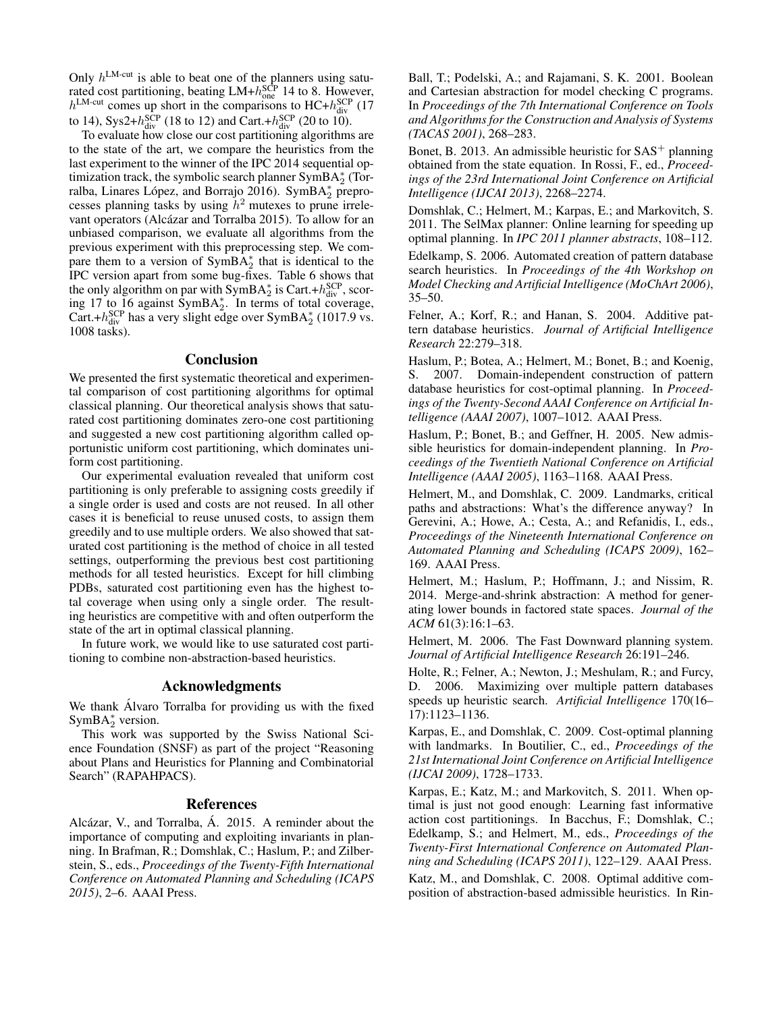Only  $h^{\text{LM-cut}}$  is able to beat one of the planners using saturated cost partitioning, beating  $LM + h_{one}^{SCP}$  14 to 8. However,  $h^{\text{LM-cut}}$  comes up short in the comparisons to HC+ $h_{\text{div}}^{\text{SCP}}$  (17 to 14), Sys2+ $h_{\text{div}}^{\text{SCP}}$  (18 to 12) and Cart.+ $h_{\text{div}}^{\text{SCP}}$  (20 to 10).

To evaluate how close our cost partitioning algorithms are to the state of the art, we compare the heuristics from the last experiment to the winner of the IPC 2014 sequential optimization track, the symbolic search planner  $\text{SymBA}_2^*$  (Torralba, Linares López, and Borrajo 2016). SymBA<sup>\*</sup> preprocesses planning tasks by using  $h^2$  mutexes to prune irrelevant operators (Alcázar and Torralba 2015). To allow for an unbiased comparison, we evaluate all algorithms from the previous experiment with this preprocessing step. We compare them to a version of  $\text{SymBA}_2^*$  that is identical to the IPC version apart from some bug-fixes. Table 6 shows that the only algorithm on par with  $\text{SymBA}_2^*$  is Cart.+ $h_{\text{div}}^{\text{SCP}}$ , scoring 17 to 16 against SymBA<sup>\*</sup><sub>2</sub>. In terms of total coverage, Cart.+ $h_{div}^{SCP}$  has a very slight edge over SymBA $_2^*$  (1017.9 vs. 1008 tasks).

## **Conclusion**

We presented the first systematic theoretical and experimental comparison of cost partitioning algorithms for optimal classical planning. Our theoretical analysis shows that saturated cost partitioning dominates zero-one cost partitioning and suggested a new cost partitioning algorithm called opportunistic uniform cost partitioning, which dominates uniform cost partitioning.

Our experimental evaluation revealed that uniform cost partitioning is only preferable to assigning costs greedily if a single order is used and costs are not reused. In all other cases it is beneficial to reuse unused costs, to assign them greedily and to use multiple orders. We also showed that saturated cost partitioning is the method of choice in all tested settings, outperforming the previous best cost partitioning methods for all tested heuristics. Except for hill climbing PDBs, saturated cost partitioning even has the highest total coverage when using only a single order. The resulting heuristics are competitive with and often outperform the state of the art in optimal classical planning.

In future work, we would like to use saturated cost partitioning to combine non-abstraction-based heuristics.

# Acknowledgments

We thank Alvaro Torralba for providing us with the fixed SymBA $_2^*$  version.

This work was supported by the Swiss National Science Foundation (SNSF) as part of the project "Reasoning about Plans and Heuristics for Planning and Combinatorial Search" (RAPAHPACS).

#### References

Alcázar, V., and Torralba, Á. 2015. A reminder about the importance of computing and exploiting invariants in planning. In Brafman, R.; Domshlak, C.; Haslum, P.; and Zilberstein, S., eds., *Proceedings of the Twenty-Fifth International Conference on Automated Planning and Scheduling (ICAPS 2015)*, 2–6. AAAI Press.

Ball, T.; Podelski, A.; and Rajamani, S. K. 2001. Boolean and Cartesian abstraction for model checking C programs. In *Proceedings of the 7th International Conference on Tools and Algorithms for the Construction and Analysis of Systems (TACAS 2001)*, 268–283.

Bonet, B. 2013. An admissible heuristic for  $SAS^+$  planning obtained from the state equation. In Rossi, F., ed., *Proceedings of the 23rd International Joint Conference on Artificial Intelligence (IJCAI 2013)*, 2268–2274.

Domshlak, C.; Helmert, M.; Karpas, E.; and Markovitch, S. 2011. The SelMax planner: Online learning for speeding up optimal planning. In *IPC 2011 planner abstracts*, 108–112.

Edelkamp, S. 2006. Automated creation of pattern database search heuristics. In *Proceedings of the 4th Workshop on Model Checking and Artificial Intelligence (MoChArt 2006)*,  $35 - 50$ .

Felner, A.; Korf, R.; and Hanan, S. 2004. Additive pattern database heuristics. *Journal of Artificial Intelligence Research* 22:279–318.

Haslum, P.; Botea, A.; Helmert, M.; Bonet, B.; and Koenig, S. 2007. Domain-independent construction of pattern database heuristics for cost-optimal planning. In *Proceedings of the Twenty-Second AAAI Conference on Artificial Intelligence (AAAI 2007)*, 1007–1012. AAAI Press.

Haslum, P.; Bonet, B.; and Geffner, H. 2005. New admissible heuristics for domain-independent planning. In *Proceedings of the Twentieth National Conference on Artificial Intelligence (AAAI 2005)*, 1163–1168. AAAI Press.

Helmert, M., and Domshlak, C. 2009. Landmarks, critical paths and abstractions: What's the difference anyway? In Gerevini, A.; Howe, A.; Cesta, A.; and Refanidis, I., eds., *Proceedings of the Nineteenth International Conference on Automated Planning and Scheduling (ICAPS 2009)*, 162– 169. AAAI Press.

Helmert, M.; Haslum, P.; Hoffmann, J.; and Nissim, R. 2014. Merge-and-shrink abstraction: A method for generating lower bounds in factored state spaces. *Journal of the ACM* 61(3):16:1–63.

Helmert, M. 2006. The Fast Downward planning system. *Journal of Artificial Intelligence Research* 26:191–246.

Holte, R.; Felner, A.; Newton, J.; Meshulam, R.; and Furcy, D. 2006. Maximizing over multiple pattern databases speeds up heuristic search. *Artificial Intelligence* 170(16– 17):1123–1136.

Karpas, E., and Domshlak, C. 2009. Cost-optimal planning with landmarks. In Boutilier, C., ed., *Proceedings of the 21st International Joint Conference on Artificial Intelligence (IJCAI 2009)*, 1728–1733.

Karpas, E.; Katz, M.; and Markovitch, S. 2011. When optimal is just not good enough: Learning fast informative action cost partitionings. In Bacchus, F.; Domshlak, C.; Edelkamp, S.; and Helmert, M., eds., *Proceedings of the Twenty-First International Conference on Automated Planning and Scheduling (ICAPS 2011)*, 122–129. AAAI Press. Katz, M., and Domshlak, C. 2008. Optimal additive composition of abstraction-based admissible heuristics. In Rin